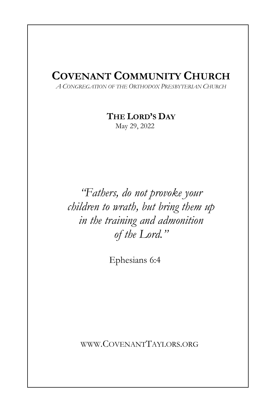# **COVENANT COMMUNITY CHURCH**

*A CONGREGATION OF THE ORTHODOX PRESBYTERIAN CHURCH*

**THE LORD'S DAY** 

May 29, 2022

*"Fathers, do not provoke your children to wrath, but bring them up in the training and admonition of the Lord."* 

Ephesians 6:4

WWW.COVENANTTAYLORS.ORG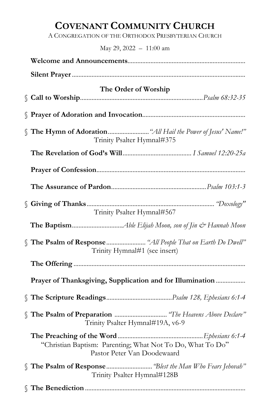# **COVENANT COMMUNITY CHURCH**

A CONGREGATION OF THE ORTHODOX PRESBYTERIAN CHURCH

May 29, 2022 – 11:00 am

| The Order of Worship                                                                          |  |  |
|-----------------------------------------------------------------------------------------------|--|--|
|                                                                                               |  |  |
| S The Hymn of Adoration  "All Hail the Power of Jesus' Name!"<br>Trinity Psalter Hymnal#375   |  |  |
|                                                                                               |  |  |
|                                                                                               |  |  |
|                                                                                               |  |  |
| Trinity Psalter Hymnal#567                                                                    |  |  |
|                                                                                               |  |  |
| S The Psalm of Response  "All People That on Earth Do Dwell"<br>Trinity Hymnal#1 (see insert) |  |  |
|                                                                                               |  |  |
| Prayer of Thanksgiving, Supplication and for Illumination                                     |  |  |
|                                                                                               |  |  |
| S The Psalm of Preparation  "The Heavens Above Declare"<br>Trinity Psalter Hymnal#19A, v6-9   |  |  |
| "Christian Baptism: Parenting; What Not To Do, What To Do"<br>Pastor Peter Van Doodewaard     |  |  |
| S The Psalm of Response  "Blest the Man Who Fears Jehovah"<br>Trinity Psalter Hymnal#128B     |  |  |
|                                                                                               |  |  |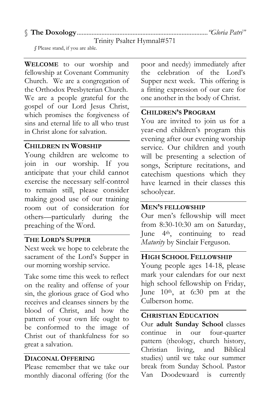# § **The Doxology** ................................................................................*"Gloria Patri"*

Trinity Psalter Hymnal#571

 *§* Please stand, if you are able.

**WELCOME** to our worship and fellowship at Covenant Community Church. We are a congregation of the Orthodox Presbyterian Church. We are a people grateful for the gospel of our Lord Jesus Christ, which promises the forgiveness of sins and eternal life to all who trust in Christ alone for salvation.

#### **CHILDREN IN WORSHIP**

Young children are welcome to join in our worship. If you anticipate that your child cannot exercise the necessary self-control to remain still, please consider making good use of our training room out of consideration for others—particularly during the preaching of the Word.

#### **THE LORD'S SUPPER**

Next week we hope to celebrate the sacrament of the Lord's Supper in our morning worship service.

Take some time this week to reflect on the reality and offense of your sin, the glorious grace of God who receives and cleanses sinners by the blood of Christ, and how the pattern of your own life ought to be conformed to the image of Christ out of thankfulness for so great a salvation.

#### **DIACONAL OFFERING**

Please remember that we take our monthly diaconal offering (for the poor and needy) immediately after the celebration of the Lord's Supper next week. This offering is a fitting expression of our care for one another in the body of Christ.

# **CHILDREN'S PROGRAM**

You are invited to join us for a year-end children's program this evening after our evening worship service. Our children and youth will be presenting a selection of songs, Scripture recitations, and catechism questions which they have learned in their classes this schoolyear.

# **MEN'S FELLOWSHIP**

Our men's fellowship will meet from 8:30-10:30 am on Saturday, June 4th, continuing to read *Maturity* by Sinclair Ferguson.

#### **HIGH SCHOOL FELLOWSHIP**

Young people ages 14-18, please mark your calendars for our next high school fellowship on Friday, June 10th, at 6:30 pm at the Culberson home.

#### **CHRISTIAN EDUCATION**

Our **adult Sunday School** classes continue in our four-quarter pattern (theology, church history, Christian living, and Biblical studies) until we take our summer break from Sunday School. Pastor Van Doodewaard is currently